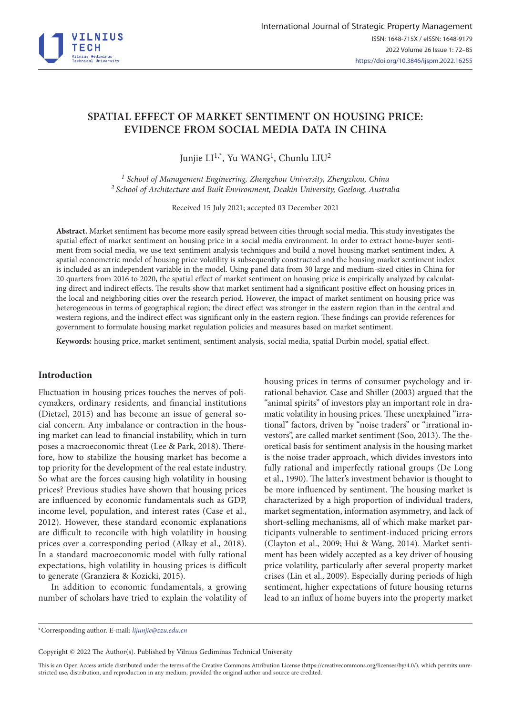

# **SPATIAL EFFECT OF MARKET SENTIMENT ON HOUSING PRICE: EVIDENCE FROM SOCIAL MEDIA DATA IN CHINA**

Junjie LI<sup>1,\*</sup>, Yu WANG<sup>1</sup>, Chunlu LIU<sup>2</sup>

*1 School of Management Engineering, Zhengzhou University, Zhengzhou, China 2 School of Architecture and Built Environment, Deakin University, Geelong, Australia*

Received 15 July 2021; accepted 03 December 2021

**Abstract.** Market sentiment has become more easily spread between cities through social media. This study investigates the spatial effect of market sentiment on housing price in a social media environment. In order to extract home-buyer sentiment from social media, we use text sentiment analysis techniques and build a novel housing market sentiment index. A spatial econometric model of housing price volatility is subsequently constructed and the housing market sentiment index is included as an independent variable in the model. Using panel data from 30 large and medium-sized cities in China for 20 quarters from 2016 to 2020, the spatial effect of market sentiment on housing price is empirically analyzed by calculating direct and indirect effects. The results show that market sentiment had a significant positive effect on housing prices in the local and neighboring cities over the research period. However, the impact of market sentiment on housing price was heterogeneous in terms of geographical region; the direct effect was stronger in the eastern region than in the central and western regions, and the indirect effect was significant only in the eastern region. These findings can provide references for government to formulate housing market regulation policies and measures based on market sentiment.

**Keywords:** housing price, market sentiment, sentiment analysis, social media, spatial Durbin model, spatial effect.

# **Introduction**

Fluctuation in housing prices touches the nerves of policymakers, ordinary residents, and financial institutions (Dietzel, 2015) and has become an issue of general social concern. Any imbalance or contraction in the housing market can lead to financial instability, which in turn poses a macroeconomic threat (Lee & Park, 2018). Therefore, how to stabilize the housing market has become a top priority for the development of the real estate industry. So what are the forces causing high volatility in housing prices? Previous studies have shown that housing prices are influenced by economic fundamentals such as GDP, income level, population, and interest rates (Case et al., 2012). However, these standard economic explanations are difficult to reconcile with high volatility in housing prices over a corresponding period (Alkay et al., 2018). In a standard macroeconomic model with fully rational expectations, high volatility in housing prices is difficult to generate (Granziera & Kozicki, 2015).

In addition to economic fundamentals, a growing number of scholars have tried to explain the volatility of housing prices in terms of consumer psychology and irrational behavior. Case and Shiller (2003) argued that the "animal spirits" of investors play an important role in dramatic volatility in housing prices. These unexplained "irrational" factors, driven by "noise traders" or "irrational investors", are called market sentiment (Soo, 2013). The theoretical basis for sentiment analysis in the housing market is the noise trader approach, which divides investors into fully rational and imperfectly rational groups (De Long et al., 1990). The latter's investment behavior is thought to be more influenced by sentiment. The housing market is characterized by a high proportion of individual traders, market segmentation, information asymmetry, and lack of short-selling mechanisms, all of which make market participants vulnerable to sentiment-induced pricing errors (Clayton et al., 2009; Hui & Wang, 2014). Market sentiment has been widely accepted as a key driver of housing price volatility, particularly after several property market crises (Lin et al., 2009). Especially during periods of high sentiment, higher expectations of future housing returns lead to an influx of home buyers into the property market

Copyright © 2022 The Author(s). Published by Vilnius Gediminas Technical University

This is an Open Access article distributed under the terms of the Creative Commons Attribution License [\(https://creativecommons.org/licenses/by/4.0/\)](http://creativecommons.org/licenses/by/4.0/), which permits unrestricted use, distribution, and reproduction in any medium, provided the original author and source are credited.

<sup>\*</sup>Corresponding author. E-mail: *[lijunjie@zzu.edu.cn](mailto:lijunjie@zzu.edu.cn)*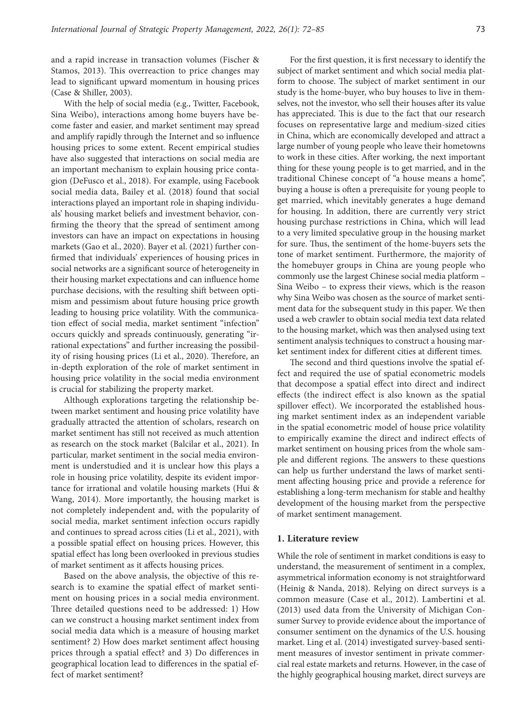and a rapid increase in transaction volumes (Fischer & Stamos, 2013). This overreaction to price changes may lead to significant upward momentum in housing prices (Case & Shiller, 2003).

With the help of social media (e.g., Twitter, Facebook, Sina Weibo), interactions among home buyers have become faster and easier, and market sentiment may spread and amplify rapidly through the Internet and so influence housing prices to some extent. Recent empirical studies have also suggested that interactions on social media are an important mechanism to explain housing price contagion (DeFusco et al., 2018). For example, using Facebook social media data, Bailey et al. (2018) found that social interactions played an important role in shaping individuals' housing market beliefs and investment behavior, confirming the theory that the spread of sentiment among investors can have an impact on expectations in housing markets (Gao et al., 2020). Bayer et al. (2021) further confirmed that individuals' experiences of housing prices in social networks are a significant source of heterogeneity in their housing market expectations and can influence home purchase decisions, with the resulting shift between optimism and pessimism about future housing price growth leading to housing price volatility. With the communication effect of social media, market sentiment "infection" occurs quickly and spreads continuously, generating "irrational expectations" and further increasing the possibility of rising housing prices (Li et al., 2020). Therefore, an in-depth exploration of the role of market sentiment in housing price volatility in the social media environment is crucial for stabilizing the property market.

Although explorations targeting the relationship between market sentiment and housing price volatility have gradually attracted the attention of scholars, research on market sentiment has still not received as much attention as research on the stock market (Balcilar et al., 2021). In particular, market sentiment in the social media environment is understudied and it is unclear how this plays a role in housing price volatility, despite its evident importance for irrational and volatile housing markets (Hui & Wang, 2014). More importantly, the housing market is not completely independent and, with the popularity of social media, market sentiment infection occurs rapidly and continues to spread across cities (Li et al., 2021), with a possible spatial effect on housing prices. However, this spatial effect has long been overlooked in previous studies of market sentiment as it affects housing prices.

Based on the above analysis, the objective of this research is to examine the spatial effect of market sentiment on housing prices in a social media environment. Three detailed questions need to be addressed: 1) How can we construct a housing market sentiment index from social media data which is a measure of housing market sentiment? 2) How does market sentiment affect housing prices through a spatial effect? and 3) Do differences in geographical location lead to differences in the spatial effect of market sentiment?

For the first question, it is first necessary to identify the subject of market sentiment and which social media platform to choose. The subject of market sentiment in our study is the home-buyer, who buy houses to live in themselves, not the investor, who sell their houses after its value has appreciated. This is due to the fact that our research focuses on representative large and medium-sized cities in China, which are economically developed and attract a large number of young people who leave their hometowns to work in these cities. After working, the next important thing for these young people is to get married, and in the traditional Chinese concept of "a house means a home", buying a house is often a prerequisite for young people to get married, which inevitably generates a huge demand for housing. In addition, there are currently very strict housing purchase restrictions in China, which will lead to a very limited speculative group in the housing market for sure. Thus, the sentiment of the home-buyers sets the tone of market sentiment. Furthermore, the majority of the homebuyer groups in China are young people who commonly use the largest Chinese social media platform – Sina Weibo – to express their views, which is the reason why Sina Weibo was chosen as the source of market sentiment data for the subsequent study in this paper. We then used a web crawler to obtain social media text data related to the housing market, which was then analysed using text sentiment analysis techniques to construct a housing market sentiment index for different cities at different times.

The second and third questions involve the spatial effect and required the use of spatial econometric models that decompose a spatial effect into direct and indirect effects (the indirect effect is also known as the spatial spillover effect). We incorporated the established housing market sentiment index as an independent variable in the spatial econometric model of house price volatility to empirically examine the direct and indirect effects of market sentiment on housing prices from the whole sample and different regions. The answers to these questions can help us further understand the laws of market sentiment affecting housing price and provide a reference for establishing a long-term mechanism for stable and healthy development of the housing market from the perspective of market sentiment management.

### **1. Literature review**

While the role of sentiment in market conditions is easy to understand, the measurement of sentiment in a complex, asymmetrical information economy is not straightforward (Heinig & Nanda, 2018). Relying on direct surveys is a common measure (Case et al., 2012). Lambertini et al. (2013) used data from the University of Michigan Consumer Survey to provide evidence about the importance of consumer sentiment on the dynamics of the U.S. housing market. Ling et al. (2014) investigated survey-based sentiment measures of investor sentiment in private commercial real estate markets and returns. However, in the case of the highly geographical housing market, direct surveys are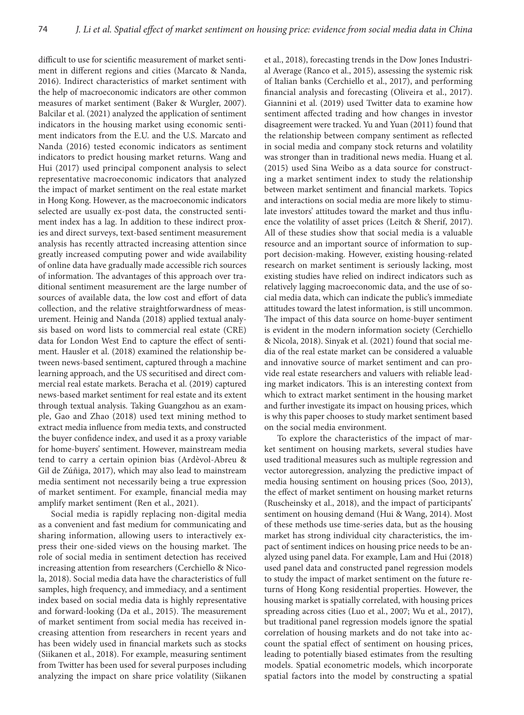difficult to use for scientific measurement of market sentiment in different regions and cities (Marcato & Nanda, 2016). Indirect characteristics of market sentiment with the help of macroeconomic indicators are other common measures of market sentiment (Baker & Wurgler, 2007). Balcilar et al. (2021) analyzed the application of sentiment indicators in the housing market using economic sentiment indicators from the E.U. and the U.S. Marcato and Nanda (2016) tested economic indicators as sentiment indicators to predict housing market returns. Wang and Hui (2017) used principal component analysis to select representative macroeconomic indicators that analyzed the impact of market sentiment on the real estate market in Hong Kong. However, as the macroeconomic indicators selected are usually ex-post data, the constructed sentiment index has a lag. In addition to these indirect proxies and direct surveys, text-based sentiment measurement analysis has recently attracted increasing attention since greatly increased computing power and wide availability of online data have gradually made accessible rich sources of information. The advantages of this approach over traditional sentiment measurement are the large number of sources of available data, the low cost and effort of data collection, and the relative straightforwardness of measurement. Heinig and Nanda (2018) applied textual analysis based on word lists to commercial real estate (CRE) data for London West End to capture the effect of sentiment. Hausler et al. (2018) examined the relationship between news-based sentiment, captured through a machine learning approach, and the US securitised and direct commercial real estate markets. Beracha et al. (2019) captured news-based market sentiment for real estate and its extent through textual analysis. Taking Guangzhou as an example, Gao and Zhao (2018) used text mining method to extract media influence from media texts, and constructed the buyer confidence index, and used it as a proxy variable for home-buyers' sentiment. However, mainstream media tend to carry a certain opinion bias (Ardèvol-Abreu & Gil de Zúñiga, 2017), which may also lead to mainstream media sentiment not necessarily being a true expression of market sentiment. For example, financial media may amplify market sentiment (Ren et al., 2021).

Social media is rapidly replacing non-digital media as a convenient and fast medium for communicating and sharing information, allowing users to interactively express their one-sided views on the housing market. The role of social media in sentiment detection has received increasing attention from researchers (Cerchiello & Nicola, 2018). Social media data have the characteristics of full samples, high frequency, and immediacy, and a sentiment index based on social media data is highly representative and forward-looking (Da et al., 2015). The measurement of market sentiment from social media has received increasing attention from researchers in recent years and has been widely used in financial markets such as stocks (Siikanen et al., 2018). For example, measuring sentiment from Twitter has been used for several purposes including analyzing the impact on share price volatility (Siikanen

et al., 2018), forecasting trends in the Dow Jones Industrial Average (Ranco et al., 2015), assessing the systemic risk of Italian banks (Cerchiello et al., 2017), and performing financial analysis and forecasting (Oliveira et al., 2017). Giannini et al. (2019) used Twitter data to examine how sentiment affected trading and how changes in investor disagreement were tracked. Yu and Yuan (2011) found that the relationship between company sentiment as reflected in social media and company stock returns and volatility was stronger than in traditional news media. Huang et al. (2015) used Sina Weibo as a data source for constructing a market sentiment index to study the relationship between market sentiment and financial markets. Topics and interactions on social media are more likely to stimulate investors' attitudes toward the market and thus influence the volatility of asset prices (Leitch & Sherif, 2017). All of these studies show that social media is a valuable resource and an important source of information to support decision-making. However, existing housing-related research on market sentiment is seriously lacking, most existing studies have relied on indirect indicators such as relatively lagging macroeconomic data, and the use of social media data, which can indicate the public's immediate attitudes toward the latest information, is still uncommon. The impact of this data source on home-buyer sentiment is evident in the modern information society (Cerchiello & Nicola, 2018). Sinyak et al. (2021) found that social media of the real estate market can be considered a valuable and innovative source of market sentiment and can provide real estate researchers and valuers with reliable leading market indicators. This is an interesting context from which to extract market sentiment in the housing market and further investigate its impact on housing prices, which is why this paper chooses to study market sentiment based on the social media environment.

To explore the characteristics of the impact of market sentiment on housing markets, several studies have used traditional measures such as multiple regression and vector autoregression, analyzing the predictive impact of media housing sentiment on housing prices (Soo, 2013), the effect of market sentiment on housing market returns (Ruscheinsky et al., 2018), and the impact of participants' sentiment on housing demand (Hui & Wang, 2014). Most of these methods use time-series data, but as the housing market has strong individual city characteristics, the impact of sentiment indices on housing price needs to be analyzed using panel data. For example, Lam and Hui (2018) used panel data and constructed panel regression models to study the impact of market sentiment on the future returns of Hong Kong residential properties. However, the housing market is spatially correlated, with housing prices spreading across cities (Luo et al., 2007; Wu et al., 2017), but traditional panel regression models ignore the spatial correlation of housing markets and do not take into account the spatial effect of sentiment on housing prices, leading to potentially biased estimates from the resulting models. Spatial econometric models, which incorporate spatial factors into the model by constructing a spatial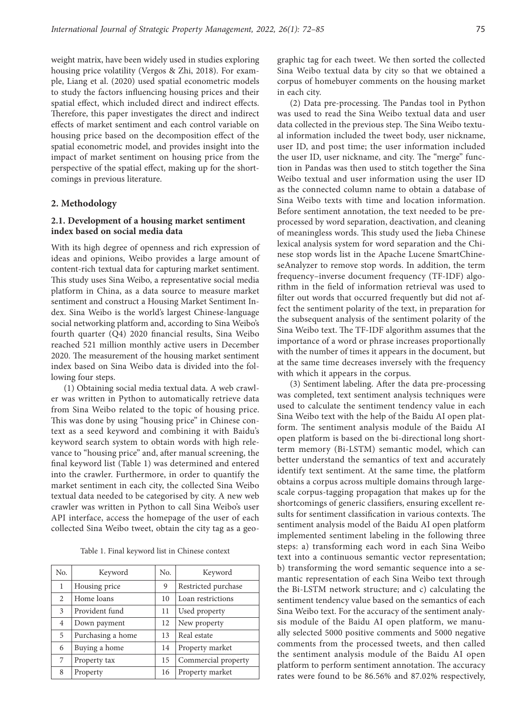weight matrix, have been widely used in studies exploring housing price volatility (Vergos & Zhi, 2018). For example, Liang et al. (2020) used spatial econometric models to study the factors influencing housing prices and their spatial effect, which included direct and indirect effects. Therefore, this paper investigates the direct and indirect effects of market sentiment and each control variable on housing price based on the decomposition effect of the spatial econometric model, and provides insight into the impact of market sentiment on housing price from the perspective of the spatial effect, making up for the shortcomings in previous literature.

# **2. Methodology**

# **2.1. Development of a housing market sentiment index based on social media data**

With its high degree of openness and rich expression of ideas and opinions, Weibo provides a large amount of content-rich textual data for capturing market sentiment. This study uses Sina Weibo, a representative social media platform in China, as a data source to measure market sentiment and construct a Housing Market Sentiment Index. Sina Weibo is the world's largest Chinese-language social networking platform and, according to Sina Weibo's fourth quarter (Q4) 2020 financial results, Sina Weibo reached 521 million monthly active users in December 2020. The measurement of the housing market sentiment index based on Sina Weibo data is divided into the following four steps.

(1) Obtaining social media textual data. A web crawler was written in Python to automatically retrieve data from Sina Weibo related to the topic of housing price. This was done by using "housing price" in Chinese context as a seed keyword and combining it with Baidu's keyword search system to obtain words with high relevance to "housing price" and, after manual screening, the final keyword list (Table 1) was determined and entered into the crawler. Furthermore, in order to quantify the market sentiment in each city, the collected Sina Weibo textual data needed to be categorised by city. A new web crawler was written in Python to call Sina Weibo's user API interface, access the homepage of the user of each collected Sina Weibo tweet, obtain the city tag as a geo-

Table 1. Final keyword list in Chinese context

| No. | Keyword           | No. | Keyword             |
|-----|-------------------|-----|---------------------|
| 1   | Housing price     | 9   | Restricted purchase |
| 2   | Home loans        | 10  | Loan restrictions   |
| 3   | Provident fund    | 11  | Used property       |
| 4   | Down payment      | 12  | New property        |
| 5   | Purchasing a home | 13  | Real estate         |
| 6   | Buying a home     | 14  | Property market     |
| 7   | Property tax      | 15  | Commercial property |
| 8   | Property          | 16  | Property market     |

graphic tag for each tweet. We then sorted the collected Sina Weibo textual data by city so that we obtained a corpus of homebuyer comments on the housing market in each city.

(2) Data pre-processing. The Pandas tool in Python was used to read the Sina Weibo textual data and user data collected in the previous step. The Sina Weibo textual information included the tweet body, user nickname, user ID, and post time; the user information included the user ID, user nickname, and city. The "merge" function in Pandas was then used to stitch together the Sina Weibo textual and user information using the user ID as the connected column name to obtain a database of Sina Weibo texts with time and location information. Before sentiment annotation, the text needed to be preprocessed by word separation, deactivation, and cleaning of meaningless words. This study used the Jieba Chinese lexical analysis system for word separation and the Chinese stop words list in the Apache Lucene SmartChineseAnalyzer to remove stop words. In addition, the term frequency–inverse document frequency (TF-IDF) algorithm in the field of information retrieval was used to filter out words that occurred frequently but did not affect the sentiment polarity of the text, in preparation for the subsequent analysis of the sentiment polarity of the Sina Weibo text. The TF-IDF algorithm assumes that the importance of a word or phrase increases proportionally with the number of times it appears in the document, but at the same time decreases inversely with the frequency with which it appears in the corpus.

(3) Sentiment labeling. After the data pre-processing was completed, text sentiment analysis techniques were used to calculate the sentiment tendency value in each Sina Weibo text with the help of the Baidu AI open platform. The sentiment analysis module of the Baidu AI open platform is based on the bi-directional long shortterm memory (Bi-LSTM) semantic model, which can better understand the semantics of text and accurately identify text sentiment. At the same time, the platform obtains a corpus across multiple domains through largescale corpus-tagging propagation that makes up for the shortcomings of generic classifiers, ensuring excellent results for sentiment classification in various contexts. The sentiment analysis model of the Baidu AI open platform implemented sentiment labeling in the following three steps: a) transforming each word in each Sina Weibo text into a continuous semantic vector representation; b) transforming the word semantic sequence into a semantic representation of each Sina Weibo text through the Bi-LSTM network structure; and c) calculating the sentiment tendency value based on the semantics of each Sina Weibo text. For the accuracy of the sentiment analysis module of the Baidu AI open platform, we manually selected 5000 positive comments and 5000 negative comments from the processed tweets, and then called the sentiment analysis module of the Baidu AI open platform to perform sentiment annotation. The accuracy rates were found to be 86.56% and 87.02% respectively,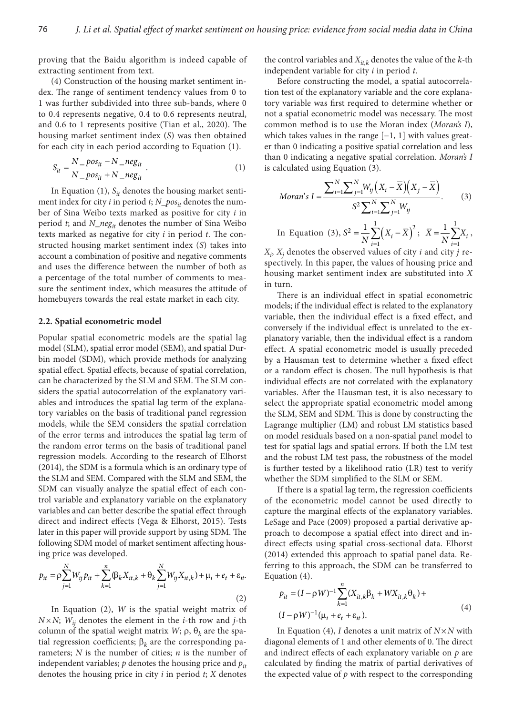proving that the Baidu algorithm is indeed capable of extracting sentiment from text.

(4) Construction of the housing market sentiment index. The range of sentiment tendency values from 0 to 1 was further subdivided into three sub-bands, where 0 to 0.4 represents negative, 0.4 to 0.6 represents neutral, and 0.6 to 1 represents positive (Tian et al., 2020). The housing market sentiment index (*S*) was then obtained for each city in each period according to Equation (1).

$$
S_{it} = \frac{N - pos_{it} - N - neg_{it}}{N - pos_{it} + N - neg_{it}}.
$$
\n(1)

In Equation  $(1)$ ,  $S_{it}$  denotes the housing market sentiment index for city *i* in period *t*; *N\_pos<sub>it</sub>* denotes the number of Sina Weibo texts marked as positive for city *i* in period *t*; and *N\_negit* denotes the number of Sina Weibo texts marked as negative for city *i* in period *t*. The constructed housing market sentiment index (*S*) takes into account a combination of positive and negative comments and uses the difference between the number of both as a percentage of the total number of comments to measure the sentiment index, which measures the attitude of homebuyers towards the real estate market in each city.

### **2.2. Spatial econometric model**

Popular spatial econometric models are the spatial lag model (SLM), spatial error model (SEM), and spatial Durbin model (SDM), which provide methods for analyzing spatial effect. Spatial effects, because of spatial correlation, can be characterized by the SLM and SEM. The SLM considers the spatial autocorrelation of the explanatory variables and introduces the spatial lag term of the explanatory variables on the basis of traditional panel regression models, while the SEM considers the spatial correlation of the error terms and introduces the spatial lag term of the random error terms on the basis of traditional panel regression models. According to the research of Elhorst (2014), the SDM is a formula which is an ordinary type of the SLM and SEM. Compared with the SLM and SEM, the SDM can visually analyze the spatial effect of each control variable and explanatory variable on the explanatory variables and can better describe the spatial effect through direct and indirect effects (Vega & Elhorst, 2015). Tests later in this paper will provide support by using SDM. The following SDM model of market sentiment affecting housing price was developed.

$$
p_{it} = \rho \sum_{j=1}^{N} W_{ij} p_{it} + \sum_{k=1}^{n} (\beta_k X_{it,k} + \theta_k \sum_{j=1}^{N} W_{ij} X_{it,k}) + \mu_i + e_t + \varepsilon_{it}.
$$
\n(2)

In Equation (2), *W* is the spatial weight matrix of  $N \times N$ ;  $W_{ij}$  denotes the element in the *i*-th row and *j*-th column of the spatial weight matrix *W*;  $ρ$ ,  $θ$ <sub>*k*</sub> are the spatial regression coefficients; β*k* are the corresponding parameters; *N* is the number of cities; *n* is the number of independent variables;  $p$  denotes the housing price and  $p_{it}$ denotes the housing price in city *i* in period *t*; *X* denotes

the control variables and *Xit,k* denotes the value of the *k-*th independent variable for city *i* in period *t*.

Before constructing the model, a spatial autocorrelation test of the explanatory variable and the core explanatory variable was first required to determine whether or not a spatial econometric model was necessary. The most common method is to use the Moran index (*Moran's I*), which takes values in the range  $[-1, 1]$  with values greater than 0 indicating a positive spatial correlation and less than 0 indicating a negative spatial correlation. *Moran's I* is calculated using Equation (3).

*Moran's I* = 
$$
\frac{\sum_{i=1}^{N} \sum_{j=1}^{N} W_{ij} (X_i - \overline{X}) (X_j - \overline{X})}{S^2 \sum_{i=1}^{N} \sum_{j=1}^{N} W_{ij}}.
$$
 (3)

In Equation (3),  $S^2 = \frac{1}{N} \sum_{i=1}^{N} (X_i - \overline{X})^2$ 1 1 *i i*  $S^2 = \frac{1}{N} \sum_{i=1}^{1} (X_i - \overline{X})^2; \quad \overline{X} = \frac{1}{N} \sum_{i=1}^{1}$ 1 1 *i i*  $\bar{X} = \frac{1}{N} \sum_{i=1}^{N} X_i$ ,

 $X_i$ ,  $X_j$  denotes the observed values of city *i* and city *j* respectively. In this paper, the values of housing price and housing market sentiment index are substituted into *X* in turn.

There is an individual effect in spatial econometric models; if the individual effect is related to the explanatory variable, then the individual effect is a fixed effect, and conversely if the individual effect is unrelated to the explanatory variable, then the individual effect is a random effect. A spatial econometric model is usually preceded by a Hausman test to determine whether a fixed effect or a random effect is chosen. The null hypothesis is that individual effects are not correlated with the explanatory variables. After the Hausman test, it is also necessary to select the appropriate spatial econometric model among the SLM, SEM and SDM. This is done by constructing the Lagrange multiplier (LM) and robust LM statistics based on model residuals based on a non-spatial panel model to test for spatial lags and spatial errors. If both the LM test and the robust LM test pass, the robustness of the model is further tested by a likelihood ratio (LR) test to verify whether the SDM simplified to the SLM or SEM.

If there is a spatial lag term, the regression coefficients of the econometric model cannot be used directly to capture the marginal effects of the explanatory variables. LeSage and Pace (2009) proposed a partial derivative approach to decompose a spatial effect into direct and indirect effects using spatial cross-sectional data. Elhorst (2014) extended this approach to spatial panel data. Referring to this approach, the SDM can be transferred to Equation (4).

$$
p_{it} = (I - \rho W)^{-1} \sum_{k=1}^{n} (X_{it,k} \beta_k + W X_{it,k} \theta_k) +
$$
  

$$
(I - \rho W)^{-1} (\mu_i + e_t + \varepsilon_{it}).
$$
 (4)

In Equation (4), *I* denotes a unit matrix of  $N \times N$  with diagonal elements of 1 and other elements of 0. The direct and indirect effects of each explanatory variable on *p* are calculated by finding the matrix of partial derivatives of the expected value of *p* with respect to the corresponding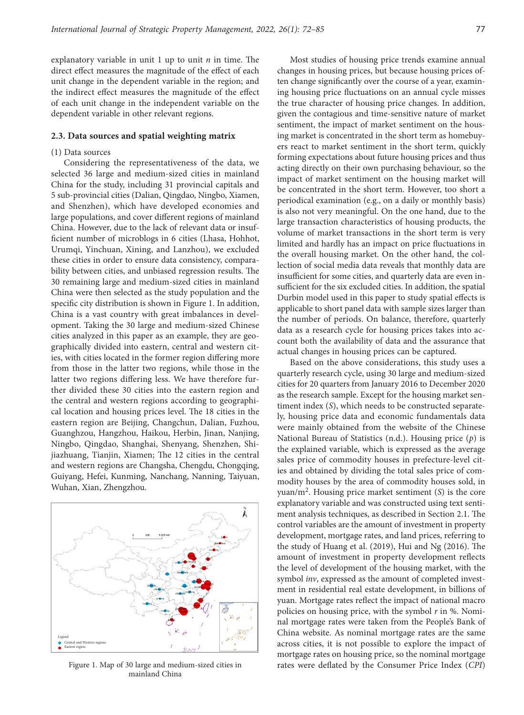explanatory variable in unit 1 up to unit *n* in time. The direct effect measures the magnitude of the effect of each unit change in the dependent variable in the region; and the indirect effect measures the magnitude of the effect of each unit change in the independent variable on the dependent variable in other relevant regions.

#### **2.3. Data sources and spatial weighting matrix**

## (1) Data sources

Considering the representativeness of the data, we selected 36 large and medium-sized cities in mainland China for the study, including 31 provincial capitals and 5 sub-provincial cities (Dalian, Qingdao, Ningbo, Xiamen, and Shenzhen), which have developed economies and large populations, and cover different regions of mainland China. However, due to the lack of relevant data or insufficient number of microblogs in 6 cities (Lhasa, Hohhot, Urumqi, Yinchuan, Xining, and Lanzhou), we excluded these cities in order to ensure data consistency, comparability between cities, and unbiased regression results. The 30 remaining large and medium-sized cities in mainland China were then selected as the study population and the specific city distribution is shown in Figure 1. In addition, China is a vast country with great imbalances in development. Taking the 30 large and medium-sized Chinese cities analyzed in this paper as an example, they are geographically divided into eastern, central and western cities, with cities located in the former region differing more from those in the latter two regions, while those in the latter two regions differing less. We have therefore further divided these 30 cities into the eastern region and the central and western regions according to geographical location and housing prices level. The 18 cities in the eastern region are Beijing, Changchun, Dalian, Fuzhou, Guanghzou, Hangzhou, Haikou, Herbin, Jinan, Nanjing, Ningbo, Qingdao, Shanghai, Shenyang, Shenzhen, Shijiazhuang, Tianjin, Xiamen; The 12 cities in the central and western regions are Changsha, Chengdu, Chongqing, Guiyang, Hefei, Kunming, Nanchang, Nanning, Taiyuan, Wuhan, Xian, Zhengzhou.



mainland China

Most studies of housing price trends examine annual changes in housing prices, but because housing prices often change significantly over the course of a year, examining housing price fluctuations on an annual cycle misses the true character of housing price changes. In addition, given the contagious and time-sensitive nature of market sentiment, the impact of market sentiment on the housing market is concentrated in the short term as homebuyers react to market sentiment in the short term, quickly forming expectations about future housing prices and thus acting directly on their own purchasing behaviour, so the impact of market sentiment on the housing market will be concentrated in the short term. However, too short a periodical examination (e.g., on a daily or monthly basis) is also not very meaningful. On the one hand, due to the large transaction characteristics of housing products, the volume of market transactions in the short term is very limited and hardly has an impact on price fluctuations in the overall housing market. On the other hand, the collection of social media data reveals that monthly data are insufficient for some cities, and quarterly data are even insufficient for the six excluded cities. In addition, the spatial Durbin model used in this paper to study spatial effects is applicable to short panel data with sample sizes larger than the number of periods. On balance, therefore, quarterly data as a research cycle for housing prices takes into account both the availability of data and the assurance that actual changes in housing prices can be captured.

Based on the above considerations, this study uses a quarterly research cycle, using 30 large and medium-sized cities for 20 quarters from January 2016 to December 2020 as the research sample. Except for the housing market sentiment index (*S*), which needs to be constructed separately, housing price data and economic fundamentals data were mainly obtained from the website of the Chinese National Bureau of Statistics (n.d.). Housing price (*p*) is the explained variable, which is expressed as the average sales price of commodity houses in prefecture-level cities and obtained by dividing the total sales price of commodity houses by the area of commodity houses sold, in yuan/m2. Housing price market sentiment (*S*) is the core explanatory variable and was constructed using text sentiment analysis techniques, as described in Section 2.1. The control variables are the amount of investment in property development, mortgage rates, and land prices, referring to the study of Huang et al. (2019), Hui and Ng (2016). The amount of investment in property development reflects the level of development of the housing market, with the symbol *inv*, expressed as the amount of completed investment in residential real estate development, in billions of yuan. Mortgage rates reflect the impact of national macro policies on housing price, with the symbol *r* in %. Nominal mortgage rates were taken from the People's Bank of China website. As nominal mortgage rates are the same across cities, it is not possible to explore the impact of mortgage rates on housing price, so the nominal mortgage Figure 1. Map of 30 large and medium-sized cities in rates were deflated by the Consumer Price Index (*CPI*)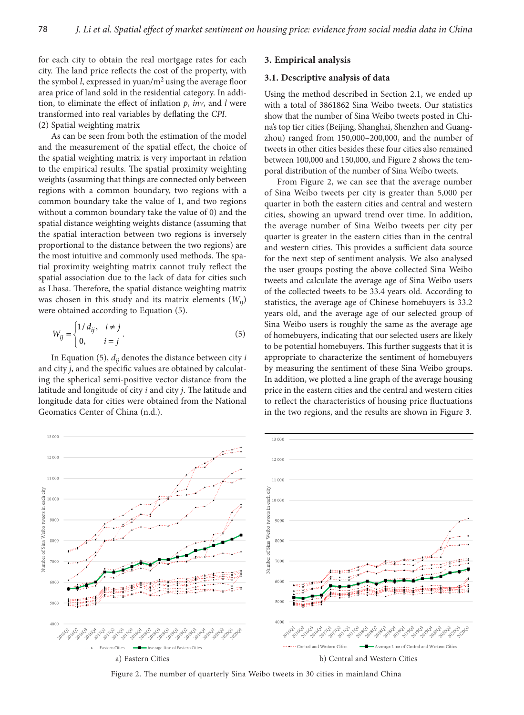for each city to obtain the real mortgage rates for each city. The land price reflects the cost of the property, with the symbol *l*, expressed in yuan/ $m<sup>2</sup>$  using the average floor area price of land sold in the residential category. In addition, to eliminate the effect of inflation *p*, *inv*, and *l* were transformed into real variables by deflating the *CPI*. (2) Spatial weighting matrix

As can be seen from both the estimation of the model and the measurement of the spatial effect, the choice of the spatial weighting matrix is very important in relation to the empirical results. The spatial proximity weighting weights (assuming that things are connected only between regions with a common boundary, two regions with a common boundary take the value of 1, and two regions without a common boundary take the value of 0) and the spatial distance weighting weights distance (assuming that the spatial interaction between two regions is inversely proportional to the distance between the two regions) are the most intuitive and commonly used methods. The spatial proximity weighting matrix cannot truly reflect the spatial association due to the lack of data for cities such as Lhasa. Therefore, the spatial distance weighting matrix was chosen in this study and its matrix elements (*Wij*) were obtained according to Equation (5).

$$
W_{ij} = \begin{cases} 1/d_{ij}, & i \neq j \\ 0, & i = j \end{cases} . \tag{5}
$$

In Equation (5),  $d_{ii}$  denotes the distance between city *i* and city *j*, and the specific values are obtained by calculating the spherical semi-positive vector distance from the latitude and longitude of city *i* and city *j*. The latitude and longitude data for cities were obtained from the National Geomatics Center of China (n.d.).

## **3. Empirical analysis**

#### **3.1. Descriptive analysis of data**

Using the method described in Section 2.1, we ended up with a total of 3861862 Sina Weibo tweets. Our statistics show that the number of Sina Weibo tweets posted in China's top tier cities (Beijing, Shanghai, Shenzhen and Guangzhou) ranged from 150,000–200,000, and the number of tweets in other cities besides these four cities also remained between 100,000 and 150,000, and Figure 2 shows the temporal distribution of the number of Sina Weibo tweets.

From Figure 2, we can see that the average number of Sina Weibo tweets per city is greater than 5,000 per quarter in both the eastern cities and central and western cities, showing an upward trend over time. In addition, the average number of Sina Weibo tweets per city per quarter is greater in the eastern cities than in the central and western cities. This provides a sufficient data source for the next step of sentiment analysis. We also analysed the user groups posting the above collected Sina Weibo tweets and calculate the average age of Sina Weibo users of the collected tweets to be 33.4 years old. According to statistics, the average age of Chinese homebuyers is 33.2 years old, and the average age of our selected group of Sina Weibo users is roughly the same as the average age of homebuyers, indicating that our selected users are likely to be potential homebuyers. This further suggests that it is appropriate to characterize the sentiment of homebuyers by measuring the sentiment of these Sina Weibo groups. In addition, we plotted a line graph of the average housing price in the eastern cities and the central and western cities to reflect the characteristics of housing price fluctuations in the two regions, and the results are shown in Figure 3.



Figure 2. The number of quarterly Sina Weibo tweets in 30 cities in mainland China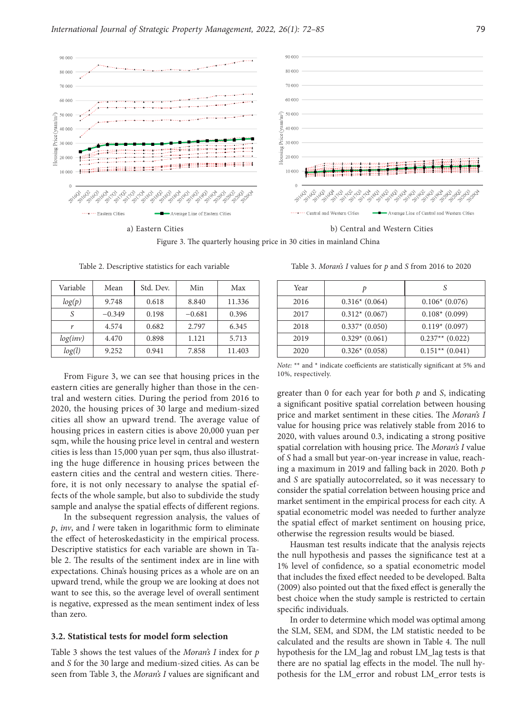

Figure 3. The quarterly housing price in 30 cities in mainland China

| Variable | Mean     | Std. Dev. | Min      | Max    |
|----------|----------|-----------|----------|--------|
| log(p)   | 9.748    | 0.618     | 8.840    | 11.336 |
| S        | $-0.349$ | 0.198     | $-0.681$ | 0.396  |
|          | 4.574    | 0.682     | 2.797    | 6.345  |
| log(inv) | 4.470    | 0.898     | 1.121    | 5.713  |
| log(l)   | 9.252    | 0.941     | 7.858    | 11.403 |

Table 2. Descriptive statistics for each variable

From Figure 3, we can see that housing prices in the eastern cities are generally higher than those in the central and western cities. During the period from 2016 to 2020, the housing prices of 30 large and medium-sized cities all show an upward trend. The average value of housing prices in eastern cities is above 20,000 yuan per sqm, while the housing price level in central and western cities is less than 15,000 yuan per sqm, thus also illustrating the huge difference in housing prices between the eastern cities and the central and western cities. Therefore, it is not only necessary to analyse the spatial effects of the whole sample, but also to subdivide the study sample and analyse the spatial effects of different regions.

In the subsequent regression analysis, the values of *p*, *inv*, and *l* were taken in logarithmic form to eliminate the effect of heteroskedasticity in the empirical process. Descriptive statistics for each variable are shown in Table 2. The results of the sentiment index are in line with expectations. China's housing prices as a whole are on an upward trend, while the group we are looking at does not want to see this, so the average level of overall sentiment is negative, expressed as the mean sentiment index of less than zero.

#### **3.2. Statistical tests for model form selection**

Table 3 shows the test values of the *Moran's I* index for *p* and *S* for the 30 large and medium-sized cities. As can be seen from Table 3, the *Moran's I* values are significant and

Table 3. *Moran's I* values for *p* and *S* from 2016 to 2020

| Year |                 |                   |
|------|-----------------|-------------------|
| 2016 | $0.316*(0.064)$ | $0.106*(0.076)$   |
| 2017 | $0.312*(0.067)$ | $0.108*(0.099)$   |
| 2018 | $0.337*(0.050)$ | $0.119*(0.097)$   |
| 2019 | $0.329*(0.061)$ | $0.237**$ (0.022) |
| 2020 | $0.326*(0.058)$ | $0.151**$ (0.041) |

*Note:* \*\* and \* indicate coefficients are statistically significant at 5% and 10%, respectively.

greater than 0 for each year for both *p* and *S*, indicating a significant positive spatial correlation between housing price and market sentiment in these cities. The *Moran's I* value for housing price was relatively stable from 2016 to 2020, with values around 0.3, indicating a strong positive spatial correlation with housing price. The *Moran's I* value of *S* had a small but year-on-year increase in value, reaching a maximum in 2019 and falling back in 2020. Both *p* and *S* are spatially autocorrelated, so it was necessary to consider the spatial correlation between housing price and market sentiment in the empirical process for each city. A spatial econometric model was needed to further analyze the spatial effect of market sentiment on housing price, otherwise the regression results would be biased.

Hausman test results indicate that the analysis rejects the null hypothesis and passes the significance test at a 1% level of confidence, so a spatial econometric model that includes the fixed effect needed to be developed. Balta (2009) also pointed out that the fixed effect is generally the best choice when the study sample is restricted to certain specific individuals.

In order to determine which model was optimal among the SLM, SEM, and SDM, the LM statistic needed to be calculated and the results are shown in Table 4. The null hypothesis for the LM\_lag and robust LM\_lag tests is that there are no spatial lag effects in the model. The null hypothesis for the LM\_error and robust LM\_error tests is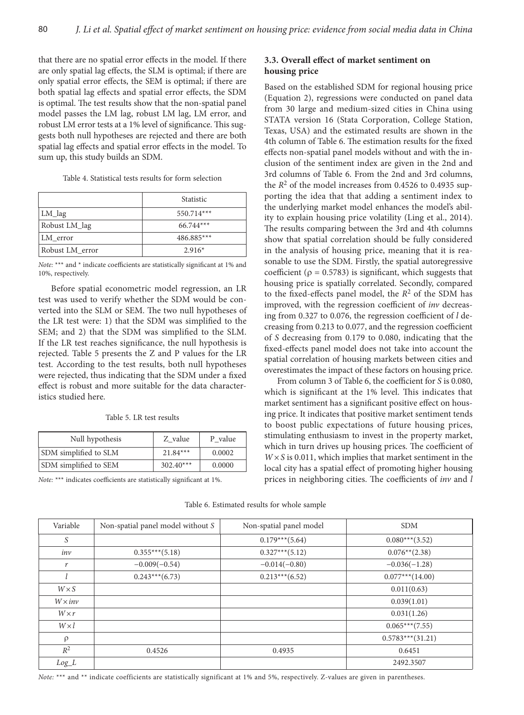that there are no spatial error effects in the model. If there are only spatial lag effects, the SLM is optimal; if there are only spatial error effects, the SEM is optimal; if there are both spatial lag effects and spatial error effects, the SDM is optimal. The test results show that the non-spatial panel model passes the LM lag, robust LM lag, LM error, and robust LM error tests at a 1% level of significance. This suggests both null hypotheses are rejected and there are both spatial lag effects and spatial error effects in the model. To sum up, this study builds an SDM.

Table 4. Statistical tests results for form selection

|                 | <b>Statistic</b> |  |
|-----------------|------------------|--|
| LM_lag          | 550.714***       |  |
| Robust LM_lag   | $66.744***$      |  |
| LM error        | 486.885***       |  |
| Robust LM_error | $2.916*$         |  |

*Note:* \*\*\* and \* indicate coefficients are statistically significant at 1% and 10%, respectively.

Before spatial econometric model regression, an LR test was used to verify whether the SDM would be converted into the SLM or SEM. The two null hypotheses of the LR test were: 1) that the SDM was simplified to the SEM; and 2) that the SDM was simplified to the SLM. If the LR test reaches significance, the null hypothesis is rejected. Table 5 presents the Z and P values for the LR test. According to the test results, both null hypotheses were rejected, thus indicating that the SDM under a fixed effect is robust and more suitable for the data characteristics studied here.

| Null hypothesis       | Z value     | P value |
|-----------------------|-------------|---------|
| SDM simplified to SLM | $21.84***$  | 0.0002  |
| SDM simplified to SEM | $302.40***$ | 0.0000  |

*Note:* \*\*\* indicates coefficients are statistically significant at 1%.

# **3.3. Overall effect of market sentiment on housing price**

Based on the established SDM for regional housing price (Equation 2), regressions were conducted on panel data from 30 large and medium-sized cities in China using STATA version 16 (Stata Corporation, College Station, Texas, USA) and the estimated results are shown in the 4th column of Table 6. The estimation results for the fixed effects non-spatial panel models without and with the inclusion of the sentiment index are given in the 2nd and 3rd columns of Table 6. From the 2nd and 3rd columns, the  $R^2$  of the model increases from 0.4526 to 0.4935 supporting the idea that that adding a sentiment index to the underlying market model enhances the model's ability to explain housing price volatility (Ling et al., 2014). The results comparing between the 3rd and 4th columns show that spatial correlation should be fully considered in the analysis of housing price, meaning that it is reasonable to use the SDM. Firstly, the spatial autoregressive coefficient ( $\rho = 0.5783$ ) is significant, which suggests that housing price is spatially correlated. Secondly, compared to the fixed-effects panel model, the *R*2 of the SDM has improved, with the regression coefficient of *inv* decreasing from 0.327 to 0.076, the regression coefficient of *l* decreasing from 0.213 to 0.077, and the regression coefficient of *S* decreasing from 0.179 to 0.080, indicating that the fixed-effects panel model does not take into account the spatial correlation of housing markets between cities and overestimates the impact of these factors on housing price.

From column 3 of Table 6, the coefficient for *S* is 0.080, which is significant at the 1% level. This indicates that market sentiment has a significant positive effect on housing price. It indicates that positive market sentiment tends to boost public expectations of future housing prices, stimulating enthusiasm to invest in the property market, which in turn drives up housing prices. The coefficient of *W×S* is 0.011, which implies that market sentiment in the local city has a spatial effect of promoting higher housing prices in neighboring cities. The coefficients of *inv* and *l*

| Variable | Non-spatial panel model without S | Non-spatial panel model | sdm           |
|----------|-----------------------------------|-------------------------|---------------|
|          |                                   | $0.179***$ (5.64)       | $0.080***$    |
|          | 0.255444530                       | 0.2274447730            | $0.075$ $410$ |

Table 6. Estimated results for whole sample

 $S$  0.179\*\*\*(5.64) 0.080\*\*\*(3.52) *inv* 0.355\*\*\*(5.18) 0.327\*\*\*(5.12) 0.076\*\*(2.38) *r* −0.009(−0.54) −0.014(−0.80) −0.014(−0.80) −0.036(−1.28) *l* 0.243\*\*\*(6.73) 0.213\*\*\*(6.52) 0.077\*\*\*(14.00)  $W \times S$  0.011(0.63)  $W \times inv$  0.039(1.01) *W* × *r* 0.031(1.26) *W×l* 0.065\*\*\*(7.55)  $\rho$  0.5783\*\*\*(31.21)  $R^2$  0.4526 0.4935 0.6451 *Log\_L* 2492.3507

*Note:* \*\*\* and \*\* indicate coefficients are statistically significant at 1% and 5%, respectively. Z-values are given in parentheses.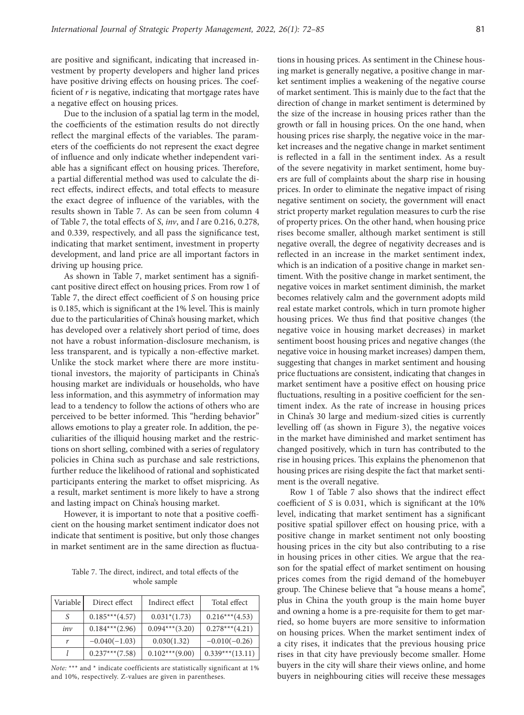are positive and significant, indicating that increased investment by property developers and higher land prices have positive driving effects on housing prices. The coefficient of *r* is negative, indicating that mortgage rates have a negative effect on housing prices.

Due to the inclusion of a spatial lag term in the model, the coefficients of the estimation results do not directly reflect the marginal effects of the variables. The parameters of the coefficients do not represent the exact degree of influence and only indicate whether independent variable has a significant effect on housing prices. Therefore, a partial differential method was used to calculate the direct effects, indirect effects, and total effects to measure the exact degree of influence of the variables, with the results shown in Table 7. As can be seen from column 4 of Table 7, the total effects of *S*, *inv*, and *l* are 0.216, 0.278, and 0.339, respectively, and all pass the significance test, indicating that market sentiment, investment in property development, and land price are all important factors in driving up housing price.

As shown in Table 7, market sentiment has a significant positive direct effect on housing prices. From row 1 of Table 7, the direct effect coefficient of *S* on housing price is 0.185, which is significant at the 1% level. This is mainly due to the particularities of China's housing market, which has developed over a relatively short period of time, does not have a robust information-disclosure mechanism, is less transparent, and is typically a non-effective market. Unlike the stock market where there are more institutional investors, the majority of participants in China's housing market are individuals or households, who have less information, and this asymmetry of information may lead to a tendency to follow the actions of others who are perceived to be better informed. This "herding behavior" allows emotions to play a greater role. In addition, the peculiarities of the illiquid housing market and the restrictions on short selling, combined with a series of regulatory policies in China such as purchase and sale restrictions, further reduce the likelihood of rational and sophisticated participants entering the market to offset mispricing. As a result, market sentiment is more likely to have a strong and lasting impact on China's housing market.

However, it is important to note that a positive coefficient on the housing market sentiment indicator does not indicate that sentiment is positive, but only those changes in market sentiment are in the same direction as fluctua-

Table 7. The direct, indirect, and total effects of the whole sample

| Variable | Direct effect     | Indirect effect   | Total effect       |
|----------|-------------------|-------------------|--------------------|
| S        | $0.185***(4.57)$  | $0.031*(1.73)$    | $0.216***(4.53)$   |
| inv      | $0.184***$ (2.96) | $0.094***$ (3.20) | $0.278***(4.21)$   |
| r        | $-0.040(-1.03)$   | 0.030(1.32)       | $-0.010(-0.26)$    |
|          | $0.237***$ (7.58) | $0.102***(9.00)$  | $0.339***$ (13.11) |

*Note:* \*\*\* and \* indicate coefficients are statistically significant at 1% and 10%, respectively. Z-values are given in parentheses.

tions in housing prices. As sentiment in the Chinese housing market is generally negative, a positive change in market sentiment implies a weakening of the negative course of market sentiment. This is mainly due to the fact that the direction of change in market sentiment is determined by the size of the increase in housing prices rather than the growth or fall in housing prices. On the one hand, when housing prices rise sharply, the negative voice in the market increases and the negative change in market sentiment is reflected in a fall in the sentiment index. As a result of the severe negativity in market sentiment, home buyers are full of complaints about the sharp rise in housing prices. In order to eliminate the negative impact of rising negative sentiment on society, the government will enact strict property market regulation measures to curb the rise of property prices. On the other hand, when housing price rises become smaller, although market sentiment is still negative overall, the degree of negativity decreases and is reflected in an increase in the market sentiment index, which is an indication of a positive change in market sentiment. With the positive change in market sentiment, the negative voices in market sentiment diminish, the market becomes relatively calm and the government adopts mild real estate market controls, which in turn promote higher housing prices. We thus find that positive changes (the negative voice in housing market decreases) in market sentiment boost housing prices and negative changes (the negative voice in housing market increases) dampen them, suggesting that changes in market sentiment and housing price fluctuations are consistent, indicating that changes in market sentiment have a positive effect on housing price fluctuations, resulting in a positive coefficient for the sentiment index. As the rate of increase in housing prices in China's 30 large and medium-sized cities is currently levelling off (as shown in Figure 3), the negative voices in the market have diminished and market sentiment has changed positively, which in turn has contributed to the rise in housing prices. This explains the phenomenon that housing prices are rising despite the fact that market sentiment is the overall negative.

Row 1 of Table 7 also shows that the indirect effect coefficient of *S* is 0.031, which is significant at the 10% level, indicating that market sentiment has a significant positive spatial spillover effect on housing price, with a positive change in market sentiment not only boosting housing prices in the city but also contributing to a rise in housing prices in other cities. We argue that the reason for the spatial effect of market sentiment on housing prices comes from the rigid demand of the homebuyer group. The Chinese believe that "a house means a home", plus in China the youth group is the main home buyer and owning a home is a pre-requisite for them to get married, so home buyers are more sensitive to information on housing prices. When the market sentiment index of a city rises, it indicates that the previous housing price rises in that city have previously become smaller. Home buyers in the city will share their views online, and home buyers in neighbouring cities will receive these messages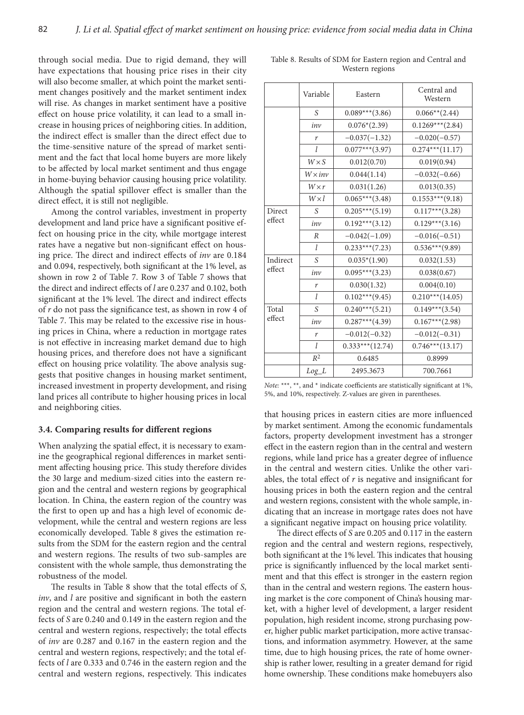through social media. Due to rigid demand, they will have expectations that housing price rises in their city will also become smaller, at which point the market sentiment changes positively and the market sentiment index will rise. As changes in market sentiment have a positive effect on house price volatility, it can lead to a small increase in housing prices of neighboring cities. In addition, the indirect effect is smaller than the direct effect due to the time-sensitive nature of the spread of market sentiment and the fact that local home buyers are more likely to be affected by local market sentiment and thus engage in home-buying behavior causing housing price volatility. Although the spatial spillover effect is smaller than the direct effect, it is still not negligible.

Among the control variables, investment in property development and land price have a significant positive effect on housing price in the city, while mortgage interest rates have a negative but non-significant effect on housing price. The direct and indirect effects of *inv* are 0.184 and 0.094, respectively, both significant at the 1% level, as shown in row 2 of Table 7. Row 3 of Table 7 shows that the direct and indirect effects of *l* are 0.237 and 0.102, both significant at the 1% level. The direct and indirect effects of *r* do not pass the significance test, as shown in row 4 of Table 7. This may be related to the excessive rise in housing prices in China, where a reduction in mortgage rates is not effective in increasing market demand due to high housing prices, and therefore does not have a significant effect on housing price volatility. The above analysis suggests that positive changes in housing market sentiment, increased investment in property development, and rising land prices all contribute to higher housing prices in local and neighboring cities.

## **3.4. Comparing results for different regions**

When analyzing the spatial effect, it is necessary to examine the geographical regional differences in market sentiment affecting housing price. This study therefore divides the 30 large and medium-sized cities into the eastern region and the central and western regions by geographical location. In China, the eastern region of the country was the first to open up and has a high level of economic development, while the central and western regions are less economically developed. Table 8 gives the estimation results from the SDM for the eastern region and the central and western regions. The results of two sub-samples are consistent with the whole sample, thus demonstrating the robustness of the model.

The results in Table 8 show that the total effects of *S*, *inv*, and *l* are positive and significant in both the eastern region and the central and western regions. The total effects of *S* are 0.240 and 0.149 in the eastern region and the central and western regions, respectively; the total effects of *inv* are 0.287 and 0.167 in the eastern region and the central and western regions, respectively; and the total effects of *l* are 0.333 and 0.746 in the eastern region and the central and western regions, respectively. This indicates

|          | Variable       | Eastern           | Central and<br>Western |
|----------|----------------|-------------------|------------------------|
|          | S              | $0.089***$ (3.86) | $0.066**$ (2.44)       |
|          | inv            | $0.076*(2.39)$    | $0.1269***$ (2.84)     |
|          | r              | $-0.037(-1.32)$   | $-0.020(-0.57)$        |
|          | $\mathcal{I}$  | $0.077***$ (3.97) | $0.274***(11.17)$      |
|          | $W \times S$   | 0.012(0.70)       | 0.019(0.94)            |
|          | $W \times inv$ | 0.044(1.14)       | $-0.032(-0.66)$        |
|          | $W \times r$   | 0.031(1.26)       | 0.013(0.35)            |
|          | $W \times l$   | $0.065***(3.48)$  | $0.1553***(9.18)$      |
| Direct   | S              | $0.205***(5.19)$  | $0.117***$ (3.28)      |
| effect   | inv            | $0.192***$ (3.12) | $0.129***$ (3.16)      |
|          | R              | $-0.042(-1.09)$   | $-0.016(-0.51)$        |
|          | $\mathcal{I}$  | $0.233***(7.23)$  | $0.536***(9.89)$       |
| Indirect | S              | $0.035*(1.90)$    | 0.032(1.53)            |
| effect   | inv            | $0.095***$ (3.23) | 0.038(0.67)            |
|          | r              | 0.030(1.32)       | 0.004(0.10)            |
|          | l              | $0.102***(9.45)$  | $0.210***$ (14.05)     |
| Total    | S              | $0.240***$ (5.21) | $0.149***$ (3.54)      |
| effect   | inv            | $0.287***$ (4.39) | $0.167***(2.98)$       |
|          | r              | $-0.012(-0.32)$   | $-0.012(-0.31)$        |
|          | $\mathcal{I}$  | $0.333***(12.74)$ | $0.746***$ (13.17)     |
|          | $R^2$          | 0.6485            | 0.8999                 |
|          | $Log\_L$       | 2495.3673         | 700.7661               |

Table 8. Results of SDM for Eastern region and Central and Western regions

*Note*: \*\*\*, \*\*, and \* indicate coefficients are statistically significant at 1%, 5%, and 10%, respectively. Z-values are given in parentheses.

that housing prices in eastern cities are more influenced by market sentiment. Among the economic fundamentals factors, property development investment has a stronger effect in the eastern region than in the central and western regions, while land price has a greater degree of influence in the central and western cities. Unlike the other variables, the total effect of  $r$  is negative and insignificant for housing prices in both the eastern region and the central and western regions, consistent with the whole sample, indicating that an increase in mortgage rates does not have a significant negative impact on housing price volatility.

The direct effects of *S* are 0.205 and 0.117 in the eastern region and the central and western regions, respectively, both significant at the 1% level. This indicates that housing price is significantly influenced by the local market sentiment and that this effect is stronger in the eastern region than in the central and western regions. The eastern housing market is the core component of China's housing market, with a higher level of development, a larger resident population, high resident income, strong purchasing power, higher public market participation, more active transactions, and information asymmetry. However, at the same time, due to high housing prices, the rate of home ownership is rather lower, resulting in a greater demand for rigid home ownership. These conditions make homebuyers also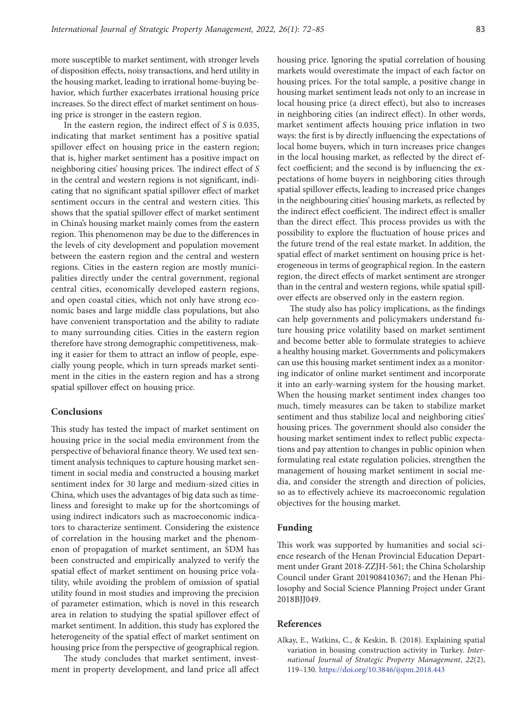more susceptible to market sentiment, with stronger levels of disposition effects, noisy transactions, and herd utility in the housing market, leading to irrational home-buying behavior, which further exacerbates irrational housing price increases. So the direct effect of market sentiment on housing price is stronger in the eastern region.

In the eastern region, the indirect effect of *S* is 0.035, indicating that market sentiment has a positive spatial spillover effect on housing price in the eastern region; that is, higher market sentiment has a positive impact on neighboring cities' housing prices. The indirect effect of *S* in the central and western regions is not significant, indicating that no significant spatial spillover effect of market sentiment occurs in the central and western cities. This shows that the spatial spillover effect of market sentiment in China's housing market mainly comes from the eastern region. This phenomenon may be due to the differences in the levels of city development and population movement between the eastern region and the central and western regions. Cities in the eastern region are mostly municipalities directly under the central government, regional central cities, economically developed eastern regions, and open coastal cities, which not only have strong economic bases and large middle class populations, but also have convenient transportation and the ability to radiate to many surrounding cities. Cities in the eastern region therefore have strong demographic competitiveness, making it easier for them to attract an inflow of people, especially young people, which in turn spreads market sentiment in the cities in the eastern region and has a strong spatial spillover effect on housing price.

## **Conclusions**

This study has tested the impact of market sentiment on housing price in the social media environment from the perspective of behavioral finance theory. We used text sentiment analysis techniques to capture housing market sentiment in social media and constructed a housing market sentiment index for 30 large and medium-sized cities in China, which uses the advantages of big data such as timeliness and foresight to make up for the shortcomings of using indirect indicators such as macroeconomic indicators to characterize sentiment. Considering the existence of correlation in the housing market and the phenomenon of propagation of market sentiment, an SDM has been constructed and empirically analyzed to verify the spatial effect of market sentiment on housing price volatility, while avoiding the problem of omission of spatial utility found in most studies and improving the precision of parameter estimation, which is novel in this research area in relation to studying the spatial spillover effect of market sentiment. In addition, this study has explored the heterogeneity of the spatial effect of market sentiment on housing price from the perspective of geographical region.

The study concludes that market sentiment, investment in property development, and land price all affect housing price. Ignoring the spatial correlation of housing markets would overestimate the impact of each factor on housing prices. For the total sample, a positive change in housing market sentiment leads not only to an increase in local housing price (a direct effect), but also to increases in neighboring cities (an indirect effect). In other words, market sentiment affects housing price inflation in two ways: the first is by directly influencing the expectations of local home buyers, which in turn increases price changes in the local housing market, as reflected by the direct effect coefficient; and the second is by influencing the expectations of home buyers in neighboring cities through spatial spillover effects, leading to increased price changes in the neighbouring cities' housing markets, as reflected by the indirect effect coefficient. The indirect effect is smaller than the direct effect. This process provides us with the possibility to explore the fluctuation of house prices and the future trend of the real estate market. In addition, the spatial effect of market sentiment on housing price is heterogeneous in terms of geographical region. In the eastern region, the direct effects of market sentiment are stronger than in the central and western regions, while spatial spillover effects are observed only in the eastern region.

The study also has policy implications, as the findings can help governments and policymakers understand future housing price volatility based on market sentiment and become better able to formulate strategies to achieve a healthy housing market. Governments and policymakers can use this housing market sentiment index as a monitoring indicator of online market sentiment and incorporate it into an early-warning system for the housing market. When the housing market sentiment index changes too much, timely measures can be taken to stabilize market sentiment and thus stabilize local and neighboring cities' housing prices. The government should also consider the housing market sentiment index to reflect public expectations and pay attention to changes in public opinion when formulating real estate regulation policies, strengthen the management of housing market sentiment in social media, and consider the strength and direction of policies, so as to effectively achieve its macroeconomic regulation objectives for the housing market.

## **Funding**

This work was supported by humanities and social science research of the Henan Provincial Education Department under Grant 2018-ZZJH-561; the China Scholarship Council under Grant 201908410367; and the Henan Philosophy and Social Science Planning Project under Grant 2018BJJ049.

# **References**

Alkay, E., Watkins, C., & Keskin, B. (2018). Explaining spatial variation in housing construction activity in Turkey. *International Journal of Strategic Property Management*, *22*(2), 119–130. <https://doi.org/10.3846/ijspm.2018.443>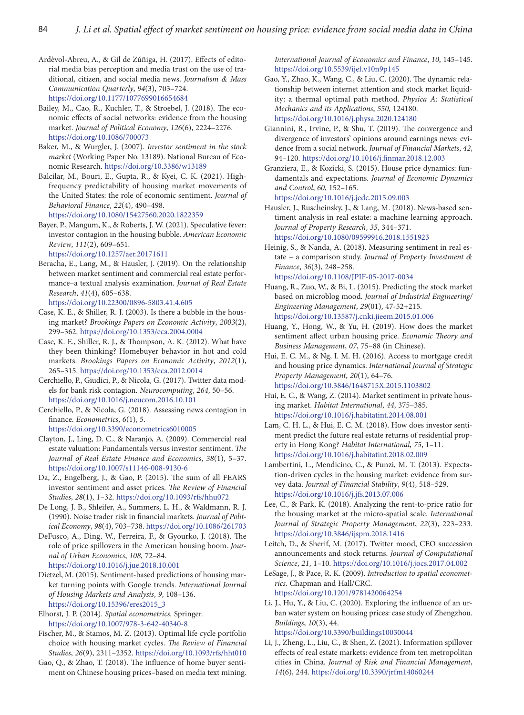Ardèvol-Abreu, A., & Gil de Zúñiga, H. (2017). Effects of editorial media bias perception and media trust on the use of traditional, citizen, and social media news. *Journalism & Mass Communication Quarterly*, *94*(3), 703–724. <https://doi.org/10.1177/1077699016654684>

Bailey, M., Cao, R., Kuchler, T., & Stroebel, J. (2018). The economic effects of social networks: evidence from the housing market. *Journal of Political Economy*, *126*(6), 2224–2276. <https://doi.org/10.1086/700073>

Baker, M., & Wurgler, J. (2007). *Investor sentiment in the stock market* (Working Paper No. 13189). National Bureau of Economic Research. <https://doi.org/10.3386/w13189>

Balcilar, M., Bouri, E., Gupta, R., & Kyei, C. K. (2021). Highfrequency predictability of housing market movements of the United States: the role of economic sentiment. *Journal of Behavioral Finance*, *22*(4), 490–498. <https://doi.org/10.1080/15427560.2020.1822359>

Bayer, P., Mangum, K., & Roberts, J. W. (2021). Speculative fever: investor contagion in the housing bubble. *American Economic Review*, *111*(2), 609–651.

<https://doi.org/10.1257/aer.20171611>

Beracha, E., Lang, M., & Hausler, J. (2019). On the relationship between market sentiment and commercial real estate performance–a textual analysis examination. *Journal of Real Estate Research*, *41*(4), 605–638.

<https://doi.org/10.22300/0896-5803.41.4.605>

Case, K. E., & Shiller, R. J. (2003). Is there a bubble in the housing market? *Brookings Papers on Economic Activity*, *2003*(2), 299–362. <https://doi.org/10.1353/eca.2004.0004>

Case, K. E., Shiller, R. J., & Thompson, A. K. (2012). What have they been thinking? Homebuyer behavior in hot and cold markets. *Brookings Papers on Economic Activity*, *2012*(1), 265–315. <https://doi.org/10.1353/eca.2012.0014>

Cerchiello, P., Giudici, P., & Nicola, G. (2017). Twitter data models for bank risk contagion. *Neurocomputing*, *264*, 50–56. <https://doi.org/10.1016/j.neucom.2016.10.101>

Cerchiello, P., & Nicola, G. (2018). Assessing news contagion in finance. *Econometrics*, *6*(1), 5.

<https://doi.org/10.3390/econometrics6010005>

Clayton, J., Ling, D. C., & Naranjo, A. (2009). Commercial real estate valuation: Fundamentals versus investor sentiment. *The Journal of Real Estate Finance and Economics*, *38*(1), 5–37. <https://doi.org/10.1007/s11146-008-9130-6>

Da, Z., Engelberg, J., & Gao, P. (2015). The sum of all FEARS investor sentiment and asset prices. *The Review of Financial Studies*, *28*(1), 1–32. <https://doi.org/10.1093/rfs/hhu072>

De Long, J. B., Shleifer, A., Summers, L. H., & Waldmann, R. J. (1990). Noise trader risk in financial markets. *Journal of Political Economy*, *98*(4), 703–738.<https://doi.org/10.1086/261703>

DeFusco, A., Ding, W., Ferreira, F., & Gyourko, J. (2018). The role of price spillovers in the American housing boom. *Journal of Urban Economics*, *108*, 72–84. <https://doi.org/10.1016/j.jue.2018.10.001>

Dietzel, M. (2015). Sentiment-based predictions of housing market turning points with Google trends. *International Journal of Housing Markets and Analysis*, *9*, 108–136. [https://doi.org/10.15396/eres2015\\_3](https://doi.org/10.15396/eres2015_3)

Elhorst, J. P. (2014). *Spatial econometrics*. Springer. <https://doi.org/10.1007/978-3-642-40340-8>

Fischer, M., & Stamos, M. Z. (2013). Optimal life cycle portfolio choice with housing market cycles. *The Review of Financial Studies*, *26*(9), 2311–2352.<https://doi.org/10.1093/rfs/hht010>

Gao, Q., & Zhao, T. (2018). The influence of home buyer sentiment on Chinese housing prices–based on media text mining. *International Journal of Economics and Finance*, *10*, 145–145. <https://doi.org/10.5539/ijef.v10n9p145>

Gao, Y., Zhao, K., Wang, C., & Liu, C. (2020). The dynamic relationship between internet attention and stock market liquidity: a thermal optimal path method. *Physica A: Statistical Mechanics and its Applications*, *550*, 124180. <https://doi.org/10.1016/j.physa.2020.124180>

Giannini, R., Irvine, P., & Shu, T. (2019). The convergence and divergence of investors' opinions around earnings news: evidence from a social network. *Journal of Financial Markets*, *42*, 94–120. <https://doi.org/10.1016/j.finmar.2018.12.003>

Granziera, E., & Kozicki, S. (2015). House price dynamics: fundamentals and expectations. *Journal of Economic Dynamics and Control*, *60*, 152–165. <https://doi.org/10.1016/j.jedc.2015.09.003>

Hausler, J., Ruscheinsky, J., & Lang, M. (2018). News-based sentiment analysis in real estate: a machine learning approach. *Journal of Property Research*, *35*, 344–371. <https://doi.org/10.1080/09599916.2018.1551923>

Heinig, S., & Nanda, A. (2018). Measuring sentiment in real estate – a comparison study. *Journal of Property Investment & Finance*, *36*(3), 248–258. <https://doi.org/10.1108/JPIF-05-2017-0034>

Huang, R., Zuo, W., & Bi, L. (2015). Predicting the stock market based on microblog mood. *Journal of Industrial Engineering/ Engineering Management*, *29*(01), 47-52+215. <https://doi.org/10.13587/j.cnki.jieem.2015.01.006>

Huang, Y., Hong, W., & Yu, H. (2019). How does the market sentiment affect urban housing price. *Economic Theory and Business Management*, *07*, 75–88 (in Chinese).

Hui, E. C. M., & Ng, I. M. H. (2016). Access to mortgage credit and housing price dynamics. *International Journal of Strategic Property Management*, *20*(1), 64–76. <https://doi.org/10.3846/1648715X.2015.1103802>

Hui, E. C., & Wang, Z. (2014). Market sentiment in private housing market. *Habitat International*, *44*, 375–385. <https://doi.org/10.1016/j.habitatint.2014.08.001>

Lam, C. H. L., & Hui, E. C. M. (2018). How does investor sentiment predict the future real estate returns of residential property in Hong Kong? *Habitat International*, *75*, 1–11. <https://doi.org/10.1016/j.habitatint.2018.02.009>

Lambertini, L., Mendicino, C., & Punzi, M. T. (2013). Expectation-driven cycles in the housing market: evidence from survey data. *Journal of Financial Stability*, *9*(4), 518–529. <https://doi.org/10.1016/j.jfs.2013.07.006>

Lee, C., & Park, K. (2018). Analyzing the rent-to-price ratio for the housing market at the micro-spatial scale. *International Journal of Strategic Property Management*, *22*(3), 223–233. <https://doi.org/10.3846/ijspm.2018.1416>

Leitch, D., & Sherif, M. (2017). Twitter mood, CEO succession announcements and stock returns. *Journal of Computational Science*, *21*, 1–10. <https://doi.org/10.1016/j.jocs.2017.04.002>

LeSage, J., & Pace, R. K. (2009). *Introduction to spatial econometrics*. Chapman and Hall/CRC. <https://doi.org/10.1201/9781420064254>

Li, J., Hu, Y., & Liu, C. (2020). Exploring the influence of an urban water system on housing prices: case study of Zhengzhou. *Buildings*, *10*(3), 44. <https://doi.org/10.3390/buildings10030044>

Li, J., Zheng, L., Liu, C., & Shen, Z. (2021). Information spillover effects of real estate markets: evidence from ten metropolitan cities in China. *Journal of Risk and Financial Management*, *14*(6), 244. <https://doi.org/10.3390/jrfm14060244>